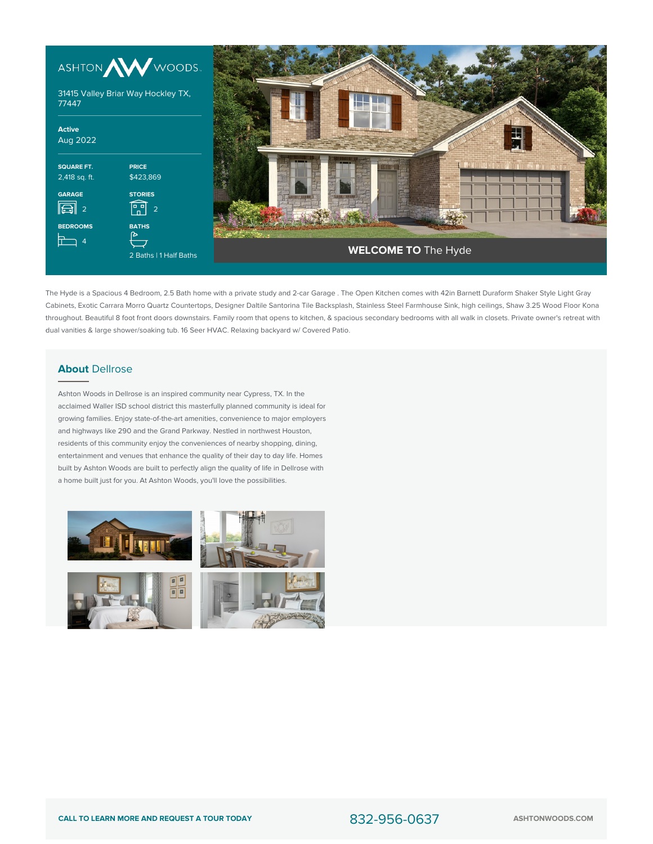



The Hyde is a Spacious 4 Bedroom, 2.5 Bath home with a private study and 2-car Garage . The Open Kitchen comes with 42in Barnett Duraform Shaker Style Light Gray Cabinets, Exotic Carrara Morro Quartz Countertops, Designer Daltile Santorina Tile Backsplash, Stainless Steel Farmhouse Sink, high ceilings, Shaw 3.25 Wood Floor Kona throughout. Beautiful 8 foot front doors downstairs. Family room that opens to kitchen, & spacious secondary bedrooms with all walk in closets. Private owner's retreat with dual vanities & large shower/soaking tub. 16 Seer HVAC. Relaxing backyard w/ Covered Patio.

## **About** Dellrose

Ashton Woods in Dellrose is an inspired community near Cypress, TX. In the acclaimed Waller ISD school district this masterfully planned community is ideal for growing families. Enjoy state-of-the-art amenities, convenience to major employers and highways like 290 and the Grand Parkway. Nestled in northwest Houston, residents of this community enjoy the conveniences of nearby shopping, dining, entertainment and venues that enhance the quality of their day to day life. Homes built by Ashton Woods are built to perfectly align the quality of life in Dellrose with a home built just for you. At Ashton Woods, you'll love the possibilities.

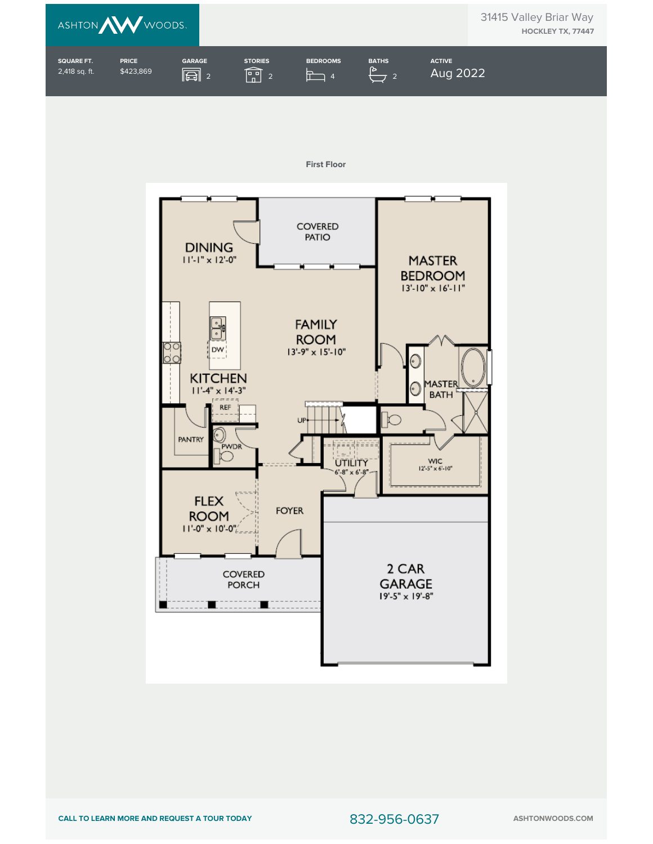